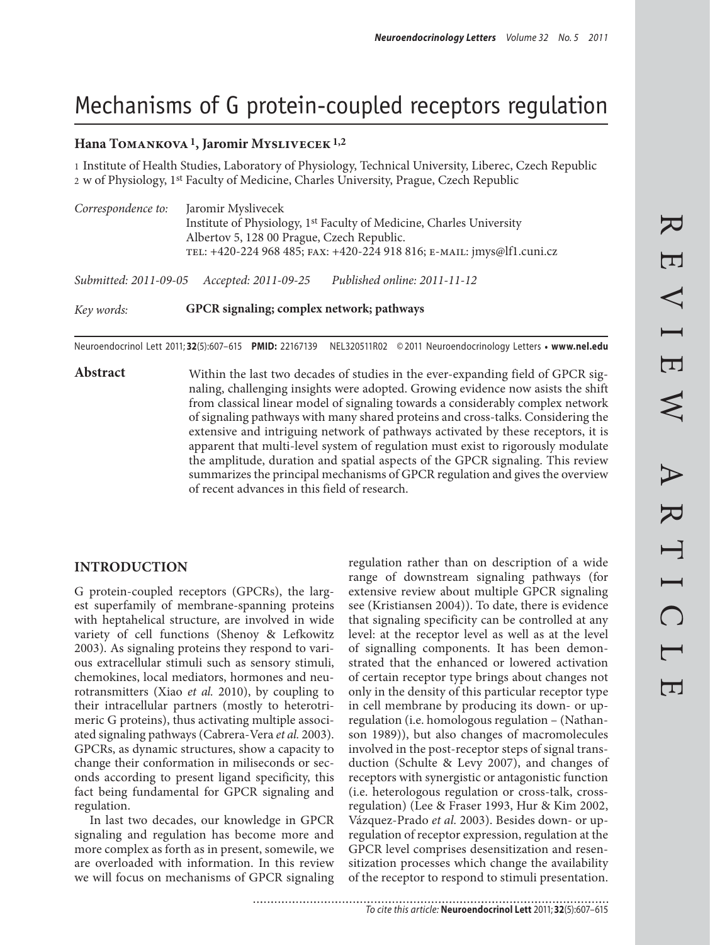# Mechanisms of G protein-coupled receptors regulation

# Hana TOMANKOVA<sup>1</sup>, Jaromir MYSLIVECEK<sup>1,2</sup>

1 Institute of Health Studies, Laboratory of Physiology, Technical University, Liberec, Czech Republic 2 w of Physiology, 1st Faculty of Medicine, Charles University, Prague, Czech Republic

| Correspondence to:                                      | Jaromir Myslivecek<br>Institute of Physiology, 1 <sup>st</sup> Faculty of Medicine, Charles University<br>Albertov 5, 128 00 Prague, Czech Republic.<br>TEL: +420-224 968 485; FAX: +420-224 918 816; E-MAIL: jmys@lf1.cuni.cz |                      |  |                                                              |
|---------------------------------------------------------|--------------------------------------------------------------------------------------------------------------------------------------------------------------------------------------------------------------------------------|----------------------|--|--------------------------------------------------------------|
| Submitted: 2011-09-05                                   |                                                                                                                                                                                                                                | Accepted: 2011-09-25 |  | Published online: 2011-11-12                                 |
| Key words:                                              | GPCR signaling; complex network; pathways                                                                                                                                                                                      |                      |  |                                                              |
| Neuroendocrinol Lett 2011; 32(5):607-615 PMID: 22167139 |                                                                                                                                                                                                                                |                      |  | NEL320511R02 © 2011 Neuroendocrinology Letters • www.nel.edu |

Abstract Within the last two decades of studies in the ever-expanding field of GPCR sig-

naling, challenging insights were adopted. Growing evidence now asists the shift from classical linear model of signaling towards a considerably complex network of signaling pathways with many shared proteins and cross-talks. Considering the extensive and intriguing network of pathways activated by these receptors, it is apparent that multi-level system of regulation must exist to rigorously modulate the amplitude, duration and spatial aspects of the GPCR signaling. This review summarizes the principal mechanisms of GPCR regulation and gives the overview of recent advances in this field of research.

# **INTRODUCTION**

G protein-coupled receptors (GPCRs), the largest superfamily of membrane-spanning proteins with heptahelical structure, are involved in wide variety of cell functions (Shenoy & Lefkowitz 2003). As signaling proteins they respond to various extracellular stimuli such as sensory stimuli, chemokines, local mediators, hormones and neurotransmitters (Xiao *et al.* 2010), by coupling to their intracellular partners (mostly to heterotrimeric G proteins), thus activating multiple associated signaling pathways (Cabrera-Vera *et al.* 2003). GPCRs, as dynamic structures, show a capacity to change their conformation in miliseconds or seconds according to present ligand specificity, this fact being fundamental for GPCR signaling and regulation.

In last two decades, our knowledge in GPCR signaling and regulation has become more and more complex as forth as in present, somewile, we are overloaded with information. In this review we will focus on mechanisms of GPCR signaling

regulation rather than on description of a wide range of downstream signaling pathways (for extensive review about multiple GPCR signaling see (Kristiansen 2004)). To date, there is evidence that signaling specificity can be controlled at any level: at the receptor level as well as at the level of signalling components. It has been demonstrated that the enhanced or lowered activation of certain receptor type brings about changes not only in the density of this particular receptor type in cell membrane by producing its down- or upregulation (i.e. homologous regulation – (Nathanson 1989)), but also changes of macromolecules involved in the post-receptor steps of signal transduction (Schulte & Levy 2007), and changes of receptors with synergistic or antagonistic function (i.e. heterologous regulation or cross-talk, crossregulation) (Lee & Fraser 1993, Hur & Kim 2002, Vázquez-Prado *et al.* 2003). Besides down- or upregulation of receptor expression, regulation at the GPCR level comprises desensitization and resensitization processes which change the availability of the receptor to respond to stimuli presentation.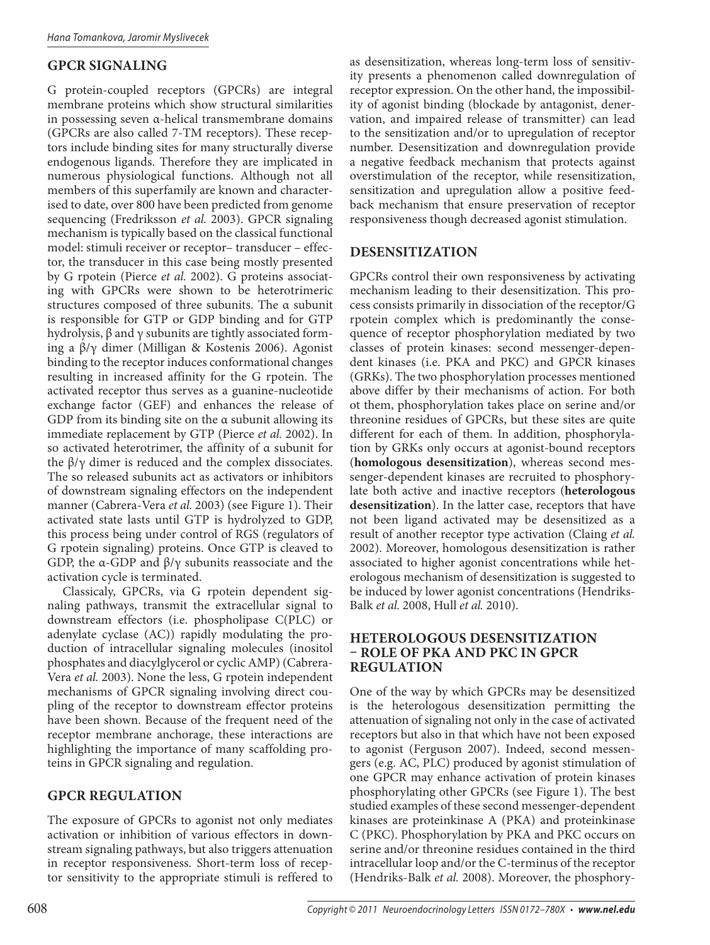# **GPCR SIGNALING**

G protein-coupled receptors (GPCRs) are integral membrane proteins which show structural similarities in possessing seven α-helical transmembrane domains (GPCRs are also called 7-TM receptors). These receptors include binding sites for many structurally diverse endogenous ligands. Therefore they are implicated in numerous physiological functions. Although not all members of this superfamily are known and characterised to date, over 800 have been predicted from genome sequencing (Fredriksson *et al.* 2003). GPCR signaling mechanism is typically based on the classical functional model: stimuli receiver or receptor– transducer – effector, the transducer in this case being mostly presented by G rpotein (Pierce *et al.* 2002). G proteins associating with GPCRs were shown to be heterotrimeric structures composed of three subunits. The α subunit is responsible for GTP or GDP binding and for GTP hydrolysis, β and γ subunits are tightly associated forming a β/γ dimer (Milligan & Kostenis 2006). Agonist binding to the receptor induces conformational changes resulting in increased affinity for the G rpotein. The activated receptor thus serves as a guanine-nucleotide exchange factor (GEF) and enhances the release of GDP from its binding site on the α subunit allowing its immediate replacement by GTP (Pierce *et al.* 2002). In so activated heterotrimer, the affinity of α subunit for the  $β/γ$  dimer is reduced and the complex dissociates. The so released subunits act as activators or inhibitors of downstream signaling effectors on the independent manner (Cabrera-Vera *et al.* 2003) (see Figure 1). Their activated state lasts until GTP is hydrolyzed to GDP, this process being under control of RGS (regulators of G rpotein signaling) proteins. Once GTP is cleaved to GDP, the α-GDP and  $β/γ$  subunits reassociate and the activation cycle is terminated.

Classicaly, GPCRs, via G rpotein dependent signaling pathways, transmit the extracellular signal to downstream effectors (i.e. phospholipase C(PLC) or adenylate cyclase (AC)) rapidly modulating the production of intracellular signaling molecules (inositol phosphates and diacylglycerol or cyclic AMP) (Cabrera-Vera *et al.* 2003). None the less, G rpotein independent mechanisms of GPCR signaling involving direct coupling of the receptor to downstream effector proteins have been shown. Because of the frequent need of the receptor membrane anchorage, these interactions are highlighting the importance of many scaffolding proteins in GPCR signaling and regulation.

# **GPCR REGULATION**

The exposure of GPCRs to agonist not only mediates activation or inhibition of various effectors in downstream signaling pathways, but also triggers attenuation in receptor responsiveness. Short-term loss of receptor sensitivity to the appropriate stimuli is reffered to as desensitization, whereas long-term loss of sensitivity presents a phenomenon called downregulation of receptor expression. On the other hand, the impossibility of agonist binding (blockade by antagonist, denervation, and impaired release of transmitter) can lead to the sensitization and/or to upregulation of receptor number. Desensitization and downregulation provide a negative feedback mechanism that protects against overstimulation of the receptor, while resensitization, sensitization and upregulation allow a positive feedback mechanism that ensure preservation of receptor responsiveness though decreased agonist stimulation.

# **DESENSITIZATION**

GPCRs control their own responsiveness by activating mechanism leading to their desensitization. This process consists primarily in dissociation of the receptor/G rpotein complex which is predominantly the consequence of receptor phosphorylation mediated by two classes of protein kinases: second messenger-dependent kinases (i.e. PKA and PKC) and GPCR kinases (GRKs). The two phosphorylation processes mentioned above differ by their mechanisms of action. For both ot them, phosphorylation takes place on serine and/or threonine residues of GPCRs, but these sites are quite different for each of them. In addition, phosphorylation by GRKs only occurs at agonist-bound receptors (**homologous desensitization**), whereas second messenger-dependent kinases are recruited to phosphorylate both active and inactive receptors (**heterologous desensitization**). In the latter case, receptors that have not been ligand activated may be desensitized as a result of another receptor type activation (Claing *et al.*  2002). Moreover, homologous desensitization is rather associated to higher agonist concentrations while heterologous mechanism of desensitization is suggested to be induced by lower agonist concentrations (Hendriks-Balk *et al.* 2008, Hull *et al.* 2010).

## **HETEROLOGOUS DESENSITIZATION – ROLE OF PKA AND PKC IN GPCR REGULATION**

One of the way by which GPCRs may be desensitized is the heterologous desensitization permitting the attenuation of signaling not only in the case of activated receptors but also in that which have not been exposed to agonist (Ferguson 2007). Indeed, second messengers (e.g. AC, PLC) produced by agonist stimulation of one GPCR may enhance activation of protein kinases phosphorylating other GPCRs (see Figure 1). The best studied examples of these second messenger-dependent kinases are proteinkinase A (PKA) and proteinkinase C (PKC). Phosphorylation by PKA and PKC occurs on serine and/or threonine residues contained in the third intracellular loop and/or the C-terminus of the receptor (Hendriks-Balk *et al.* 2008). Moreover, the phosphory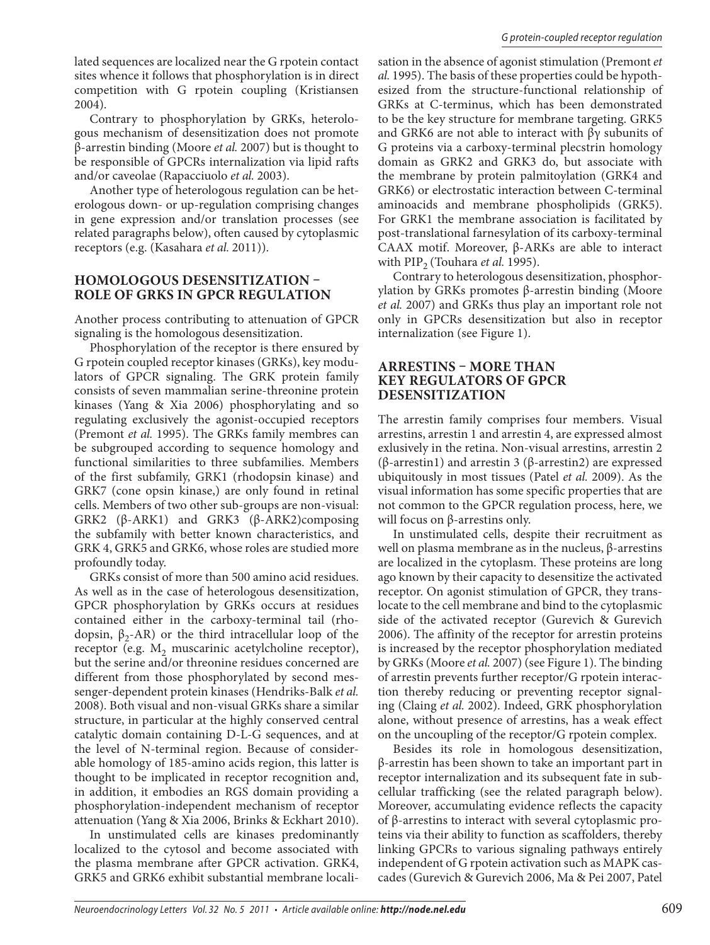lated sequences are localized near the G rpotein contact sites whence it follows that phosphorylation is in direct competition with G rpotein coupling (Kristiansen 2004).

Contrary to phosphorylation by GRKs, heterologous mechanism of desensitization does not promote β-arrestin binding (Moore *et al.* 2007) but is thought to be responsible of GPCRs internalization via lipid rafts and/or caveolae (Rapacciuolo *et al.* 2003).

Another type of heterologous regulation can be heterologous down- or up-regulation comprising changes in gene expression and/or translation processes (see related paragraphs below), often caused by cytoplasmic receptors (e.g. (Kasahara *et al.* 2011)).

# **HOMOLOGOUS DESENSITIZATION – ROLE OF GRKS IN GPCR REGULATION**

Another process contributing to attenuation of GPCR signaling is the homologous desensitization.

Phosphorylation of the receptor is there ensured by G rpotein coupled receptor kinases (GRKs), key modulators of GPCR signaling. The GRK protein family consists of seven mammalian serine-threonine protein kinases (Yang & Xia 2006) phosphorylating and so regulating exclusively the agonist-occupied receptors (Premont *et al.* 1995). The GRKs family membres can be subgrouped according to sequence homology and functional similarities to three subfamilies. Members of the first subfamily, GRK1 (rhodopsin kinase) and GRK7 (cone opsin kinase,) are only found in retinal cells. Members of two other sub-groups are non-visual: GRK2 (β-ARK1) and GRK3 (β-ARK2)composing the subfamily with better known characteristics, and GRK 4, GRK5 and GRK6, whose roles are studied more profoundly today.

GRKs consist of more than 500 amino acid residues. As well as in the case of heterologous desensitization, GPCR phosphorylation by GRKs occurs at residues contained either in the carboxy-terminal tail (rhodopsin,  $β_2$ -AR) or the third intracellular loop of the receptor (e.g.  $M_2$  muscarinic acetylcholine receptor), but the serine and/or threonine residues concerned are different from those phosphorylated by second messenger-dependent protein kinases (Hendriks-Balk *et al.*  2008). Both visual and non-visual GRKs share a similar structure, in particular at the highly conserved central catalytic domain containing D-L-G sequences, and at the level of N-terminal region. Because of considerable homology of 185-amino acids region, this latter is thought to be implicated in receptor recognition and, in addition, it embodies an RGS domain providing a phosphorylation-independent mechanism of receptor attenuation (Yang & Xia 2006, Brinks & Eckhart 2010).

In unstimulated cells are kinases predominantly localized to the cytosol and become associated with the plasma membrane after GPCR activation. GRK4, GRK5 and GRK6 exhibit substantial membrane localisation in the absence of agonist stimulation (Premont *et al.* 1995). The basis of these properties could be hypothesized from the structure-functional relationship of GRKs at C-terminus, which has been demonstrated to be the key structure for membrane targeting. GRK5 and GRK6 are not able to interact with  $\beta\gamma$  subunits of G proteins via a carboxy-terminal plecstrin homology domain as GRK2 and GRK3 do, but associate with the membrane by protein palmitoylation (GRK4 and GRK6) or electrostatic interaction between C-terminal aminoacids and membrane phospholipids (GRK5). For GRK1 the membrane association is facilitated by post-translational farnesylation of its carboxy-terminal CAAX motif. Moreover, β-ARKs are able to interact with PIP<sub>2</sub> (Touhara *et al.* 1995).

Contrary to heterologous desensitization, phosphorylation by GRKs promotes β-arrestin binding (Moore *et al.* 2007) and GRKs thus play an important role not only in GPCRs desensitization but also in receptor internalization (see Figure 1).

#### **ARRESTINS – MORE THAN KEY REGULATORS OF GPCR DESENSITIZATION**

The arrestin family comprises four members. Visual arrestins, arrestin 1 and arrestin 4, are expressed almost exlusively in the retina. Non-visual arrestins, arrestin 2 (β-arrestin1) and arrestin 3 (β-arrestin2) are expressed ubiquitously in most tissues (Patel *et al.* 2009). As the visual information has some specific properties that are not common to the GPCR regulation process, here, we will focus on β-arrestins only.

In unstimulated cells, despite their recruitment as well on plasma membrane as in the nucleus, β-arrestins are localized in the cytoplasm. These proteins are long ago known by their capacity to desensitize the activated receptor. On agonist stimulation of GPCR, they translocate to the cell membrane and bind to the cytoplasmic side of the activated receptor (Gurevich & Gurevich 2006). The affinity of the receptor for arrestin proteins is increased by the receptor phosphorylation mediated by GRKs (Moore *et al.* 2007) (see Figure 1). The binding of arrestin prevents further receptor/G rpotein interaction thereby reducing or preventing receptor signaling (Claing *et al.* 2002). Indeed, GRK phosphorylation alone, without presence of arrestins, has a weak effect on the uncoupling of the receptor/G rpotein complex.

Besides its role in homologous desensitization, β-arrestin has been shown to take an important part in receptor internalization and its subsequent fate in subcellular trafficking (see the related paragraph below). Moreover, accumulating evidence reflects the capacity of β-arrestins to interact with several cytoplasmic proteins via their ability to function as scaffolders, thereby linking GPCRs to various signaling pathways entirely independent of G rpotein activation such as MAPK cascades (Gurevich & Gurevich 2006, Ma & Pei 2007, Patel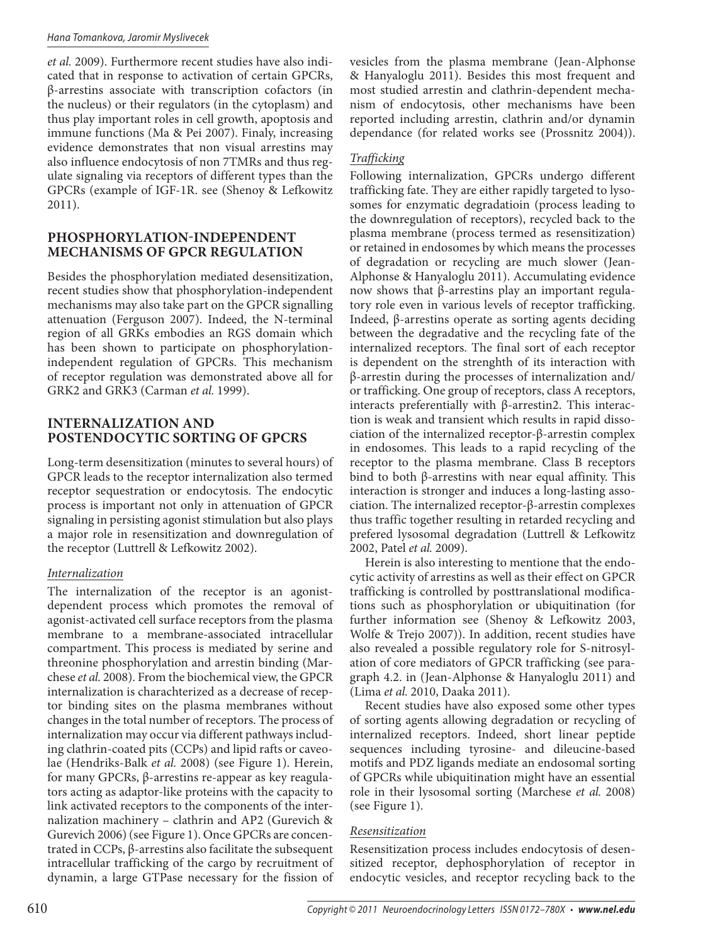#### Hana Tomankova, Jaromir Myslivecek

*et al.* 2009). Furthermore recent studies have also indicated that in response to activation of certain GPCRs, β-arrestins associate with transcription cofactors (in the nucleus) or their regulators (in the cytoplasm) and thus play important roles in cell growth, apoptosis and immune functions (Ma & Pei 2007). Finaly, increasing evidence demonstrates that non visual arrestins may also influence endocytosis of non 7TMRs and thus regulate signaling via receptors of different types than the GPCRs (example of IGF-1R. see (Shenoy & Lefkowitz 2011).

# **PHOSPHORYLATION-INDEPENDENT MECHANISMS OF GPCR REGULATION**

Besides the phosphorylation mediated desensitization, recent studies show that phosphorylation-independent mechanisms may also take part on the GPCR signalling attenuation (Ferguson 2007). Indeed, the N-terminal region of all GRKs embodies an RGS domain which has been shown to participate on phosphorylationindependent regulation of GPCRs. This mechanism of receptor regulation was demonstrated above all for GRK2 and GRK3 (Carman *et al.* 1999).

## **INTERNALIZATION AND POSTENDOCYTIC SORTING OF GPCRS**

Long-term desensitization (minutes to several hours) of GPCR leads to the receptor internalization also termed receptor sequestration or endocytosis. The endocytic process is important not only in attenuation of GPCR signaling in persisting agonist stimulation but also plays a major role in resensitization and downregulation of the receptor (Luttrell & Lefkowitz 2002).

# *Internalization*

The internalization of the receptor is an agonistdependent process which promotes the removal of agonist-activated cell surface receptors from the plasma membrane to a membrane-associated intracellular compartment. This process is mediated by serine and threonine phosphorylation and arrestin binding (Marchese *et al.* 2008). From the biochemical view, the GPCR internalization is charachterized as a decrease of receptor binding sites on the plasma membranes without changes in the total number of receptors. The process of internalization may occur via different pathways including clathrin-coated pits (CCPs) and lipid rafts or caveolae (Hendriks-Balk *et al.* 2008) (see Figure 1). Herein, for many GPCRs, β-arrestins re-appear as key reagulators acting as adaptor-like proteins with the capacity to link activated receptors to the components of the internalization machinery – clathrin and AP2 (Gurevich & Gurevich 2006) (see Figure 1). Once GPCRs are concentrated in CCPs, β-arrestins also facilitate the subsequent intracellular trafficking of the cargo by recruitment of dynamin, a large GTPase necessary for the fission of vesicles from the plasma membrane (Jean-Alphonse & Hanyaloglu 2011). Besides this most frequent and most studied arrestin and clathrin-dependent mechanism of endocytosis, other mechanisms have been reported including arrestin, clathrin and/or dynamin dependance (for related works see (Prossnitz 2004)).

# *Trafficking*

Following internalization, GPCRs undergo different trafficking fate. They are either rapidly targeted to lysosomes for enzymatic degradatioin (process leading to the downregulation of receptors), recycled back to the plasma membrane (process termed as resensitization) or retained in endosomes by which means the processes of degradation or recycling are much slower (Jean-Alphonse & Hanyaloglu 2011). Accumulating evidence now shows that β-arrestins play an important regulatory role even in various levels of receptor trafficking. Indeed, β-arrestins operate as sorting agents deciding between the degradative and the recycling fate of the internalized receptors. The final sort of each receptor is dependent on the strenghth of its interaction with β-arrestin during the processes of internalization and/ or trafficking. One group of receptors, class A receptors, interacts preferentially with β-arrestin2. This interaction is weak and transient which results in rapid dissociation of the internalized receptor-β-arrestin complex in endosomes. This leads to a rapid recycling of the receptor to the plasma membrane. Class B receptors bind to both β-arrestins with near equal affinity. This interaction is stronger and induces a long-lasting association. The internalized receptor-β-arrestin complexes thus traffic together resulting in retarded recycling and prefered lysosomal degradation (Luttrell & Lefkowitz 2002, Patel *et al.* 2009).

Herein is also interesting to mentione that the endocytic activity of arrestins as well as their effect on GPCR trafficking is controlled by posttranslational modifications such as phosphorylation or ubiquitination (for further information see (Shenoy & Lefkowitz 2003, Wolfe & Trejo 2007)). In addition, recent studies have also revealed a possible regulatory role for S-nitrosylation of core mediators of GPCR trafficking (see paragraph 4.2. in (Jean-Alphonse & Hanyaloglu 2011) and (Lima *et al.* 2010, Daaka 2011).

Recent studies have also exposed some other types of sorting agents allowing degradation or recycling of internalized receptors. Indeed, short linear peptide sequences including tyrosine- and dileucine-based motifs and PDZ ligands mediate an endosomal sorting of GPCRs while ubiquitination might have an essential role in their lysosomal sorting (Marchese *et al.* 2008) (see Figure 1).

# *Resensitization*

Resensitization process includes endocytosis of desensitized receptor, dephosphorylation of receptor in endocytic vesicles, and receptor recycling back to the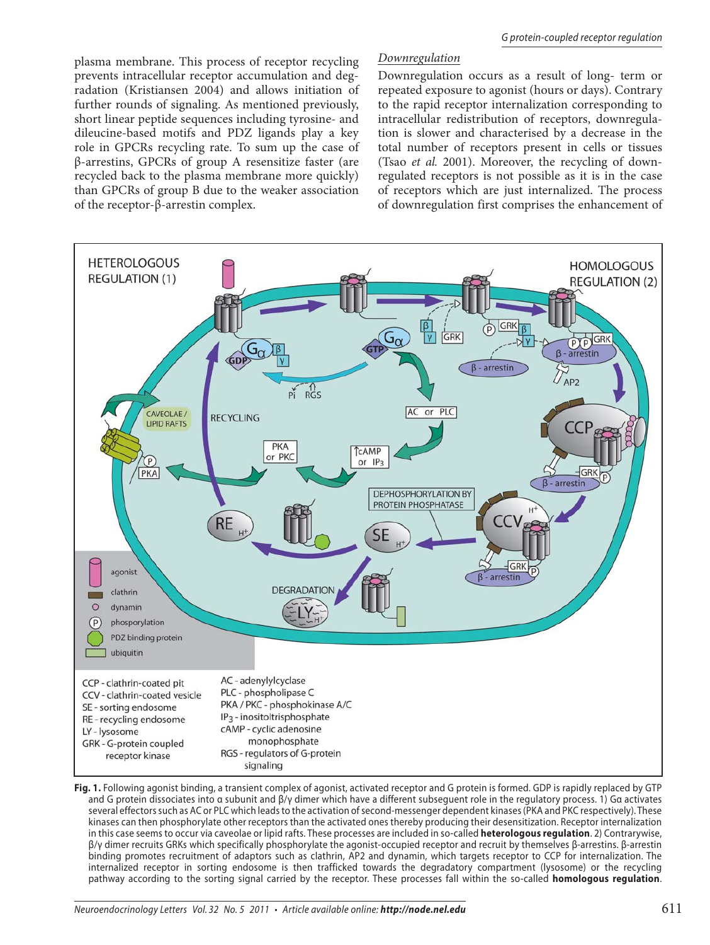plasma membrane. This process of receptor recycling prevents intracellular receptor accumulation and degradation (Kristiansen 2004) and allows initiation of further rounds of signaling. As mentioned previously, short linear peptide sequences including tyrosine- and dileucine-based motifs and PDZ ligands play a key role in GPCRs recycling rate. To sum up the case of β-arrestins, GPCRs of group A resensitize faster (are recycled back to the plasma membrane more quickly) than GPCRs of group B due to the weaker association of the receptor-β-arrestin complex.

## *Downregulation*

Downregulation occurs as a result of long- term or repeated exposure to agonist (hours or days). Contrary to the rapid receptor internalization corresponding to intracellular redistribution of receptors, downregulation is slower and characterised by a decrease in the total number of receptors present in cells or tissues (Tsao *et al.* 2001). Moreover, the recycling of downregulated receptors is not possible as it is in the case of receptors which are just internalized. The process of downregulation first comprises the enhancement of



**Fig. 1.** Following agonist binding, a transient complex of agonist, activated receptor and G protein is formed. GDP is rapidly replaced by GTP and G protein dissociates into α subunit and β/γ dimer which have a different subseguent role in the regulatory process. 1) Gα activates several effectors such as AC or PLC which leads to the activation of second-messenger dependent kinases (PKA and PKC respectively). These kinases can then phosphorylate other receptors than the activated ones thereby producing their desensitization. Receptor internalization in this case seems to occur via caveolae or lipid rafts. These processes are included in so-called **heterologous regulation**. 2) Contrarywise, β/γ dimer recruits GRKs which specifically phosphorylate the agonist-occupied receptor and recruit by themselves β-arrestins. β-arrestin binding promotes recruitment of adaptors such as clathrin, AP2 and dynamin, which targets receptor to CCP for internalization. The internalized receptor in sorting endosome is then trafficked towards the degradatory compartment (lysosome) or the recycling pathway according to the sorting signal carried by the receptor. These processes fall within the so-called **homologous regulation**.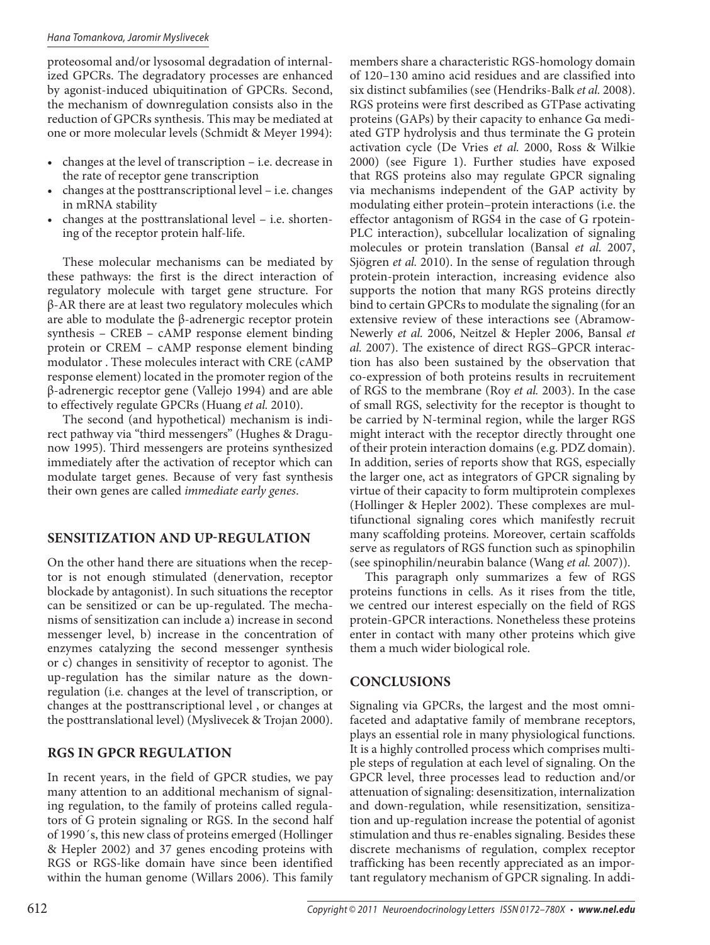#### Hana Tomankova, Jaromir Myslivecek

proteosomal and/or lysosomal degradation of internalized GPCRs. The degradatory processes are enhanced by agonist-induced ubiquitination of GPCRs. Second, the mechanism of downregulation consists also in the reduction of GPCRs synthesis. This may be mediated at one or more molecular levels (Schmidt & Meyer 1994):

- changes at the level of transcription i.e. decrease in the rate of receptor gene transcription
- changes at the posttranscriptional level i.e. changes in mRNA stability
- changes at the posttranslational level i.e. shortening of the receptor protein half-life.

These molecular mechanisms can be mediated by these pathways: the first is the direct interaction of regulatory molecule with target gene structure. For β-AR there are at least two regulatory molecules which are able to modulate the β-adrenergic receptor protein synthesis – CREB – cAMP response element binding protein or CREM – cAMP response element binding modulator . These molecules interact with CRE (cAMP response element) located in the promoter region of the β-adrenergic receptor gene (Vallejo 1994) and are able to effectively regulate GPCRs (Huang *et al.* 2010).

The second (and hypothetical) mechanism is indirect pathway via "third messengers" (Hughes & Dragunow 1995). Third messengers are proteins synthesized immediately after the activation of receptor which can modulate target genes. Because of very fast synthesis their own genes are called *immediate early genes*.

# **SENSITIZATION AND UP-REGULATION**

On the other hand there are situations when the receptor is not enough stimulated (denervation, receptor blockade by antagonist). In such situations the receptor can be sensitized or can be up-regulated. The mechanisms of sensitization can include a) increase in second messenger level, b) increase in the concentration of enzymes catalyzing the second messenger synthesis or c) changes in sensitivity of receptor to agonist. The up-regulation has the similar nature as the downregulation (i.e. changes at the level of transcription, or changes at the posttranscriptional level , or changes at the posttranslational level) (Myslivecek & Trojan 2000).

# **RGS IN GPCR REGULATION**

In recent years, in the field of GPCR studies, we pay many attention to an additional mechanism of signaling regulation, to the family of proteins called regulators of G protein signaling or RGS. In the second half of 1990´s, this new class of proteins emerged (Hollinger & Hepler 2002) and 37 genes encoding proteins with RGS or RGS-like domain have since been identified within the human genome (Willars 2006). This family

members share a characteristic RGS-homology domain of 120–130 amino acid residues and are classified into six distinct subfamilies (see (Hendriks-Balk *et al.* 2008). RGS proteins were first described as GTPase activating proteins (GAPs) by their capacity to enhance Gα mediated GTP hydrolysis and thus terminate the G protein activation cycle (De Vries *et al.* 2000, Ross & Wilkie 2000) (see Figure 1). Further studies have exposed that RGS proteins also may regulate GPCR signaling via mechanisms independent of the GAP activity by modulating either protein–protein interactions (i.e. the effector antagonism of RGS4 in the case of G rpotein-PLC interaction), subcellular localization of signaling molecules or protein translation (Bansal *et al.* 2007, Sjögren *et al.* 2010). In the sense of regulation through protein-protein interaction, increasing evidence also supports the notion that many RGS proteins directly bind to certain GPCRs to modulate the signaling (for an extensive review of these interactions see (Abramow-Newerly *et al.* 2006, Neitzel & Hepler 2006, Bansal *et al.* 2007). The existence of direct RGS–GPCR interaction has also been sustained by the observation that co-expression of both proteins results in recruitement of RGS to the membrane (Roy *et al.* 2003). In the case of small RGS, selectivity for the receptor is thought to be carried by N-terminal region, while the larger RGS might interact with the receptor directly throught one of their protein interaction domains (e.g. PDZ domain). In addition, series of reports show that RGS, especially the larger one, act as integrators of GPCR signaling by virtue of their capacity to form multiprotein complexes (Hollinger & Hepler 2002). These complexes are multifunctional signaling cores which manifestly recruit many scaffolding proteins. Moreover, certain scaffolds serve as regulators of RGS function such as spinophilin (see spinophilin/neurabin balance (Wang *et al.* 2007)).

This paragraph only summarizes a few of RGS proteins functions in cells. As it rises from the title, we centred our interest especially on the field of RGS protein-GPCR interactions. Nonetheless these proteins enter in contact with many other proteins which give them a much wider biological role.

# **CONCLUSIONS**

Signaling via GPCRs, the largest and the most omnifaceted and adaptative family of membrane receptors, plays an essential role in many physiological functions. It is a highly controlled process which comprises multiple steps of regulation at each level of signaling. On the GPCR level, three processes lead to reduction and/or attenuation of signaling: desensitization, internalization and down-regulation, while resensitization, sensitization and up-regulation increase the potential of agonist stimulation and thus re-enables signaling. Besides these discrete mechanisms of regulation, complex receptor trafficking has been recently appreciated as an important regulatory mechanism of GPCR signaling. In addi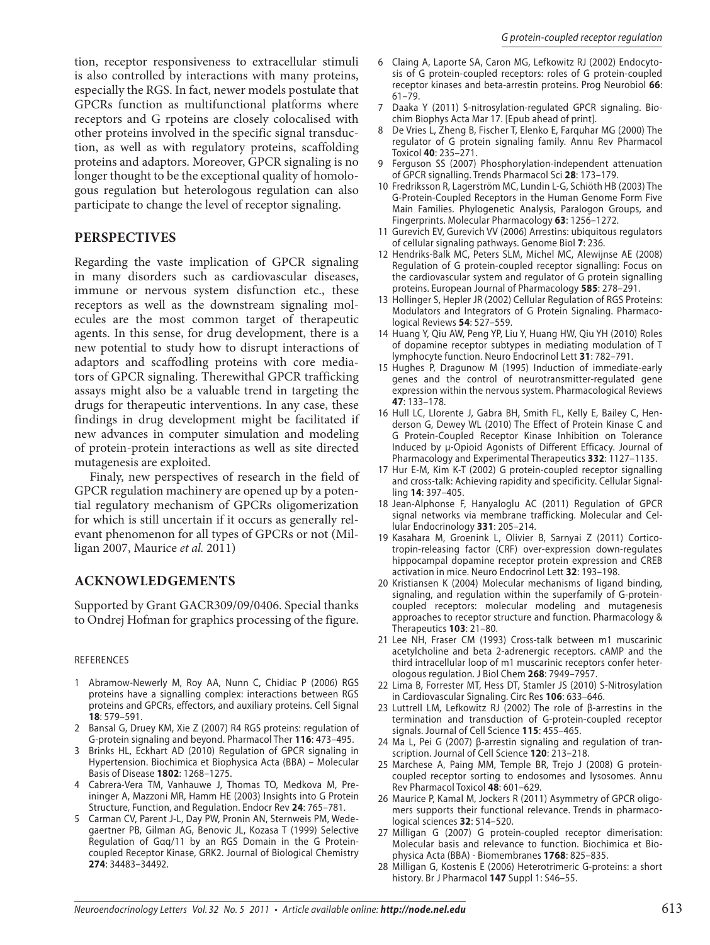tion, receptor responsiveness to extracellular stimuli is also controlled by interactions with many proteins, especially the RGS. In fact, newer models postulate that GPCRs function as multifunctional platforms where receptors and G rpoteins are closely colocalised with other proteins involved in the specific signal transduction, as well as with regulatory proteins, scaffolding proteins and adaptors. Moreover, GPCR signaling is no longer thought to be the exceptional quality of homologous regulation but heterologous regulation can also participate to change the level of receptor signaling.

#### **PERSPECTIVES**

Regarding the vaste implication of GPCR signaling in many disorders such as cardiovascular diseases, immune or nervous system disfunction etc., these receptors as well as the downstream signaling molecules are the most common target of therapeutic agents. In this sense, for drug development, there is a new potential to study how to disrupt interactions of adaptors and scaffodling proteins with core mediators of GPCR signaling. Therewithal GPCR trafficking assays might also be a valuable trend in targeting the drugs for therapeutic interventions. In any case, these findings in drug development might be facilitated if new advances in computer simulation and modeling of protein-protein interactions as well as site directed mutagenesis are exploited.

Finaly, new perspectives of research in the field of GPCR regulation machinery are opened up by a potential regulatory mechanism of GPCRs oligomerization for which is still uncertain if it occurs as generally relevant phenomenon for all types of GPCRs or not (Milligan 2007, Maurice *et al.* 2011)

#### **ACKNOWLEDGEMENTS**

Supported by Grant GACR309/09/0406. Special thanks to Ondrej Hofman for graphics processing of the figure.

#### REFERENCES

- 1 Abramow-Newerly M, Roy AA, Nunn C, Chidiac P (2006) RGS proteins have a signalling complex: interactions between RGS proteins and GPCRs, effectors, and auxiliary proteins. Cell Signal **18**: 579–591.
- 2 Bansal G, Druey KM, Xie Z (2007) R4 RGS proteins: regulation of G-protein signaling and beyond. Pharmacol Ther **116**: 473–495.
- 3 Brinks HL, Eckhart AD (2010) Regulation of GPCR signaling in Hypertension. Biochimica et Biophysica Acta (BBA) – Molecular Basis of Disease **1802**: 1268–1275.
- 4 Cabrera-Vera TM, Vanhauwe J, Thomas TO, Medkova M, Preininger A, Mazzoni MR, Hamm HE (2003) Insights into G Protein Structure, Function, and Regulation. Endocr Rev **24**: 765–781.
- Carman CV, Parent J-L, Day PW, Pronin AN, Sternweis PM, Wedegaertner PB, Gilman AG, Benovic JL, Kozasa T (1999) Selective Regulation of Gαq/11 by an RGS Domain in the G Proteincoupled Receptor Kinase, GRK2. Journal of Biological Chemistry **274**: 34483–34492.
- 6 Claing A, Laporte SA, Caron MG, Lefkowitz RJ (2002) Endocytosis of G protein-coupled receptors: roles of G protein-coupled receptor kinases and beta-arrestin proteins. Prog Neurobiol **66**: 61–79.
- 7 Daaka Y (2011) S-nitrosylation-regulated GPCR signaling. Biochim Biophys Acta Mar 17. [Epub ahead of print].
- De Vries L, Zheng B, Fischer T, Elenko E, Farquhar MG (2000) The regulator of G protein signaling family. Annu Rev Pharmacol Toxicol **40**: 235–271.
- Ferguson SS (2007) Phosphorylation-independent attenuation of GPCR signalling. Trends Pharmacol Sci **28**: 173–179.
- 10 Fredriksson R, Lagerström MC, Lundin L-G, Schiöth HB (2003) The G-Protein-Coupled Receptors in the Human Genome Form Five Main Families. Phylogenetic Analysis, Paralogon Groups, and Fingerprints. Molecular Pharmacology **63**: 1256–1272.
- 11 Gurevich EV, Gurevich VV (2006) Arrestins: ubiquitous regulators of cellular signaling pathways. Genome Biol **7**: 236.
- 12 Hendriks-Balk MC, Peters SLM, Michel MC, Alewijnse AE (2008) Regulation of G protein-coupled receptor signalling: Focus on the cardiovascular system and regulator of G protein signalling proteins. European Journal of Pharmacology **585**: 278–291.
- 13 Hollinger S, Hepler JR (2002) Cellular Regulation of RGS Proteins: Modulators and Integrators of G Protein Signaling. Pharmacological Reviews **54**: 527–559.
- 14 Huang Y, Qiu AW, Peng YP, Liu Y, Huang HW, Qiu YH (2010) Roles of dopamine receptor subtypes in mediating modulation of T lymphocyte function. Neuro Endocrinol Lett **31**: 782–791.
- 15 Hughes P, Dragunow M (1995) Induction of immediate-early genes and the control of neurotransmitter-regulated gene expression within the nervous system. Pharmacological Reviews **47**: 133–178.
- 16 Hull LC, Llorente J, Gabra BH, Smith FL, Kelly E, Bailey C, Henderson G, Dewey WL (2010) The Effect of Protein Kinase C and G Protein-Coupled Receptor Kinase Inhibition on Tolerance Induced by μ-Opioid Agonists of Different Efficacy. Journal of Pharmacology and Experimental Therapeutics **332**: 1127–1135.
- 17 Hur E-M, Kim K-T (2002) G protein-coupled receptor signalling and cross-talk: Achieving rapidity and specificity. Cellular Signalling **14**: 397–405.
- 18 Jean-Alphonse F, Hanyaloglu AC (2011) Regulation of GPCR signal networks via membrane trafficking. Molecular and Cellular Endocrinology **331**: 205–214.
- 19 Kasahara M, Groenink L, Olivier B, Sarnyai Z (2011) Corticotropin-releasing factor (CRF) over-expression down-regulates hippocampal dopamine receptor protein expression and CREB activation in mice. Neuro Endocrinol Lett **32**: 193–198.
- 20 Kristiansen K (2004) Molecular mechanisms of ligand binding, signaling, and regulation within the superfamily of G-proteincoupled receptors: molecular modeling and mutagenesis approaches to receptor structure and function. Pharmacology & Therapeutics **103**: 21–80.
- 21 Lee NH, Fraser CM (1993) Cross-talk between m1 muscarinic acetylcholine and beta 2-adrenergic receptors. cAMP and the third intracellular loop of m1 muscarinic receptors confer heterologous regulation. J Biol Chem **268**: 7949–7957.
- 22 Lima B, Forrester MT, Hess DT, Stamler JS (2010) S-Nitrosylation in Cardiovascular Signaling. Circ Res **106**: 633–646.
- 23 Luttrell LM, Lefkowitz RJ (2002) The role of β-arrestins in the termination and transduction of G-protein-coupled receptor signals. Journal of Cell Science **115**: 455–465.
- 24 Ma L, Pei G (2007) β-arrestin signaling and regulation of transcription. Journal of Cell Science **120**: 213–218.
- 25 Marchese A, Paing MM, Temple BR, Trejo J (2008) G proteincoupled receptor sorting to endosomes and lysosomes. Annu Rev Pharmacol Toxicol **48**: 601–629.
- 26 Maurice P, Kamal M, Jockers R (2011) Asymmetry of GPCR oligomers supports their functional relevance. Trends in pharmacological sciences **32**: 514–520.
- 27 Milligan G (2007) G protein-coupled receptor dimerisation: Molecular basis and relevance to function. Biochimica et Biophysica Acta (BBA) - Biomembranes **1768**: 825–835.
- 28 Milligan G, Kostenis E (2006) Heterotrimeric G-proteins: a short history. Br J Pharmacol **147** Suppl 1: S46–55.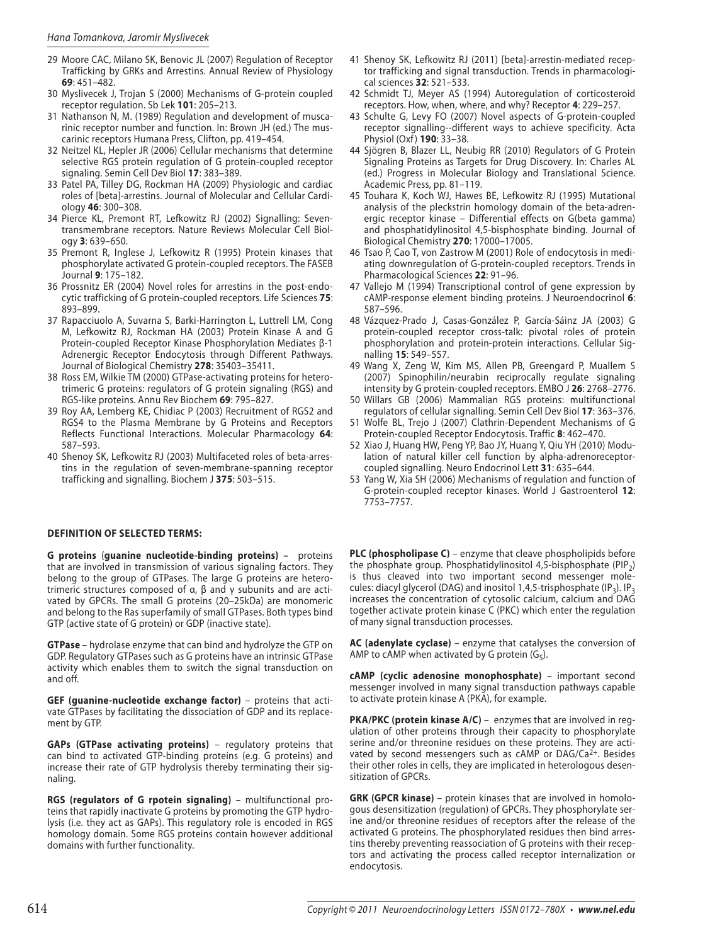- 29 Moore CAC, Milano SK, Benovic JL (2007) Regulation of Receptor Trafficking by GRKs and Arrestins. Annual Review of Physiology **69**: 451–482.
- 30 Myslivecek J, Trojan S (2000) Mechanisms of G-protein coupled receptor regulation. Sb Lek **101**: 205–213.
- 31 Nathanson N, M. (1989) Regulation and development of muscarinic receptor number and function. In: Brown JH (ed.) The muscarinic receptors Humana Press, Clifton, pp. 419–454.
- 32 Neitzel KL, Hepler JR (2006) Cellular mechanisms that determine selective RGS protein regulation of G protein-coupled receptor signaling. Semin Cell Dev Biol **17**: 383–389.
- 33 Patel PA, Tilley DG, Rockman HA (2009) Physiologic and cardiac roles of [beta]-arrestins. Journal of Molecular and Cellular Cardiology **46**: 300–308.
- 34 Pierce KL, Premont RT, Lefkowitz RJ (2002) Signalling: Seventransmembrane receptors. Nature Reviews Molecular Cell Biology **3**: 639–650.
- 35 Premont R, Inglese J, Lefkowitz R (1995) Protein kinases that phosphorylate activated G protein-coupled receptors. The FASEB Journal **9**: 175–182.
- 36 Prossnitz ER (2004) Novel roles for arrestins in the post-endocytic trafficking of G protein-coupled receptors. Life Sciences **75**: 893–899.
- 37 Rapacciuolo A, Suvarna S, Barki-Harrington L, Luttrell LM, Cong M, Lefkowitz RJ, Rockman HA (2003) Protein Kinase A and G Protein-coupled Receptor Kinase Phosphorylation Mediates β-1 Adrenergic Receptor Endocytosis through Different Pathways. Journal of Biological Chemistry **278**: 35403–35411.
- 38 Ross EM, Wilkie TM (2000) GTPase-activating proteins for heterotrimeric G proteins: regulators of G protein signaling (RGS) and RGS-like proteins. Annu Rev Biochem **69**: 795–827.
- 39 Roy AA, Lemberg KE, Chidiac P (2003) Recruitment of RGS2 and RGS4 to the Plasma Membrane by G Proteins and Receptors Reflects Functional Interactions. Molecular Pharmacology **64**: 587–593.
- 40 Shenoy SK, Lefkowitz RJ (2003) Multifaceted roles of beta-arrestins in the regulation of seven-membrane-spanning receptor trafficking and signalling. Biochem J **375**: 503–515.

#### **DEFINITION OF SELECTED TERMS:**

**G proteins** (**guanine nucleotide-binding proteins) –**  proteins that are involved in transmission of various signaling factors. They belong to the group of GTPases. The large G proteins are heterotrimeric structures composed of α, β and γ subunits and are activated by GPCRs. The small G proteins (20–25kDa) are monomeric and belong to the Ras superfamily of small GTPases. Both types bind GTP (active state of G protein) or GDP (inactive state).

**GTPase** – hydrolase enzyme that can bind and hydrolyze the GTP on GDP. Regulatory GTPases such as G proteins have an intrinsic GTPase activity which enables them to switch the signal transduction on and off.

**GEF (guanine-nucleotide exchange factor)** – proteins that activate GTPases by facilitating the dissociation of GDP and its replacement by GTP.

**GAPs (GTPase activating proteins)** – regulatory proteins that can bind to activated GTP-binding proteins (e.g. G proteins) and increase their rate of GTP hydrolysis thereby terminating their signaling.

**RGS (regulators of G rpotein signaling)** – multifunctional proteins that rapidly inactivate G proteins by promoting the GTP hydrolysis (i.e. they act as GAPs). This regulatory role is encoded in RGS homology domain. Some RGS proteins contain however additional domains with further functionality.

- 41 Shenoy SK, Lefkowitz RJ (2011) [beta]-arrestin-mediated receptor trafficking and signal transduction. Trends in pharmacological sciences **32**: 521–533.
- 42 Schmidt TJ, Meyer AS (1994) Autoregulation of corticosteroid receptors. How, when, where, and why? Receptor **4**: 229–257.
- 43 Schulte G, Levy FO (2007) Novel aspects of G-protein-coupled receptor signalling--different ways to achieve specificity. Acta Physiol (Oxf) **190**: 33-38.
- 44 Sjögren B, Blazer LL, Neubig RR (2010) Regulators of G Protein Signaling Proteins as Targets for Drug Discovery. In: Charles AL (ed.) Progress in Molecular Biology and Translational Science. Academic Press, pp. 81–119.
- 45 Touhara K, Koch WJ, Hawes BE, Lefkowitz RJ (1995) Mutational analysis of the pleckstrin homology domain of the beta-adrenergic receptor kinase – Differential effects on G(beta gamma) and phosphatidylinositol 4,5-bisphosphate binding. Journal of Biological Chemistry **270**: 17000–17005.
- 46 Tsao P, Cao T, von Zastrow M (2001) Role of endocytosis in mediating downregulation of G-protein-coupled receptors. Trends in Pharmacological Sciences **22**: 91–96.
- 47 Vallejo M (1994) Transcriptional control of gene expression by cAMP-response element binding proteins. J Neuroendocrinol **6**: 587–596.
- 48 Vázquez-Prado J, Casas-González P, García-Sáinz JA (2003) G protein-coupled receptor cross-talk: pivotal roles of protein phosphorylation and protein-protein interactions. Cellular Signalling **15**: 549–557.
- 49 Wang X, Zeng W, Kim MS, Allen PB, Greengard P, Muallem S (2007) Spinophilin/neurabin reciprocally regulate signaling intensity by G protein-coupled receptors. EMBO J **26**: 2768–2776.
- 50 Willars GB (2006) Mammalian RGS proteins: multifunctional regulators of cellular signalling. Semin Cell Dev Biol **17**: 363–376.
- 51 Wolfe BL, Trejo J (2007) Clathrin-Dependent Mechanisms of G Protein-coupled Receptor Endocytosis. Traffic **8**: 462–470.
- 52 Xiao J, Huang HW, Peng YP, Bao JY, Huang Y, Qiu YH (2010) Modulation of natural killer cell function by alpha-adrenoreceptorcoupled signalling. Neuro Endocrinol Lett **31**: 635–644.
- 53 Yang W, Xia SH (2006) Mechanisms of regulation and function of G-protein-coupled receptor kinases. World J Gastroenterol **12**: 7753–7757.

**PLC (phospholipase C)** – enzyme that cleave phospholipids before the phosphate group. Phosphatidylinositol 4,5-bisphosphate  $(PIP<sub>2</sub>)$ is thus cleaved into two important second messenger molecules: diacyl glycerol (DAG) and inositol 1,4,5-trisphosphate (IP<sub>3</sub>). IP<sub>3</sub> increases the concentration of cytosolic calcium, calcium and DAG together activate protein kinase C (PKC) which enter the regulation of many signal transduction processes.

**AC (adenylate cyclase)** – enzyme that catalyses the conversion of AMP to cAMP when activated by G protein  $(G<sub>s</sub>)$ .

**cAMP (cyclic adenosine monophosphate)** – important second messenger involved in many signal transduction pathways capable to activate protein kinase A (PKA), for example.

**PKA/PKC (protein kinase A/C)** – enzymes that are involved in regulation of other proteins through their capacity to phosphorylate serine and/or threonine residues on these proteins. They are activated by second messengers such as cAMP or DAG/Ca<sup>2+</sup>. Besides their other roles in cells, they are implicated in heterologous desensitization of GPCRs.

**GRK (GPCR kinase)** – protein kinases that are involved in homologous desensitization (regulation) of GPCRs. They phosphorylate serine and/or threonine residues of receptors after the release of the activated G proteins. The phosphorylated residues then bind arrestins thereby preventing reassociation of G proteins with their receptors and activating the process called receptor internalization or endocytosis.